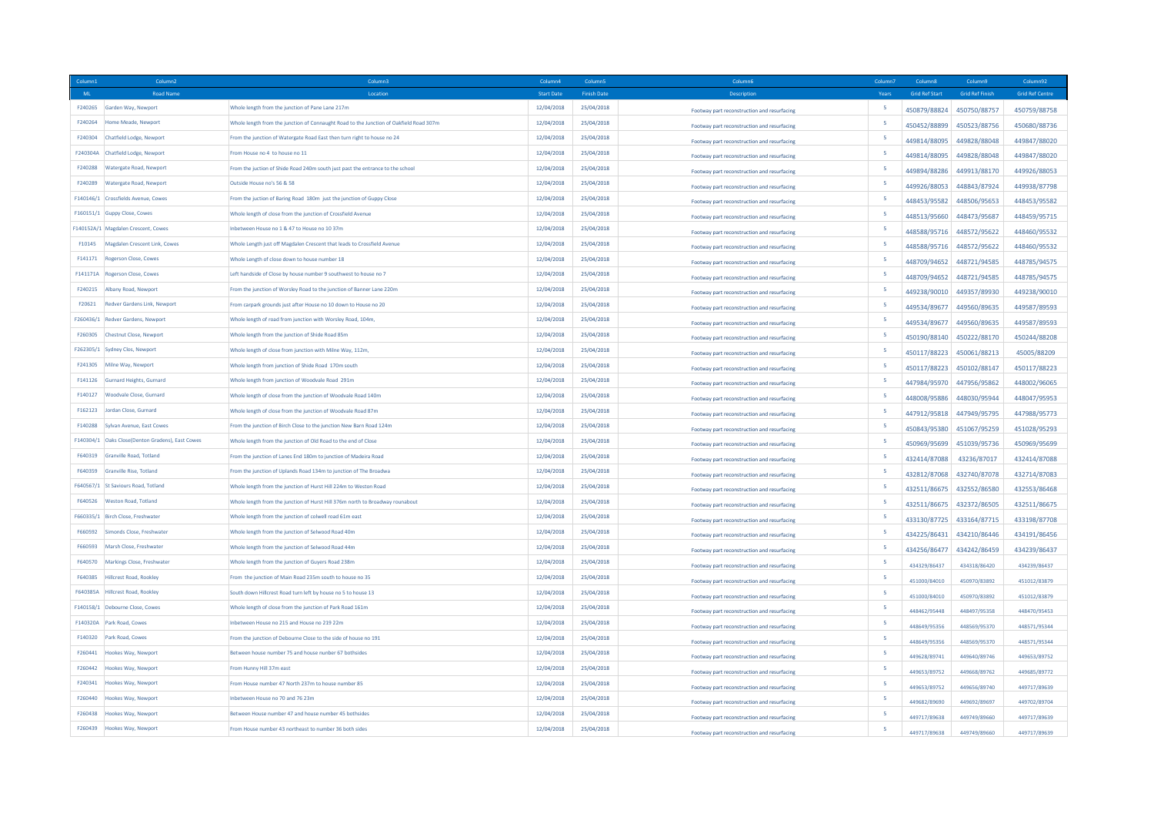|         | Column <sub>2</sub>                              | Column3                                                                                | Column4           | Column5            | Column6                                     | Column:                  | Column8               | Column9                   | Column92               |
|---------|--------------------------------------------------|----------------------------------------------------------------------------------------|-------------------|--------------------|---------------------------------------------|--------------------------|-----------------------|---------------------------|------------------------|
| ML      | <b>Road Name</b>                                 | Location                                                                               | <b>Start Date</b> | <b>Finish Date</b> | <b>Description</b>                          | Years                    | <b>Grid Ref Start</b> | <b>Grid Ref Finish</b>    | <b>Grid Ref Centre</b> |
| F240265 | Garden Way, Newport                              | Whole length from the junction of Pane Lane 217m                                       | 12/04/2018        | 25/04/2018         | Footway part reconstruction and resurfacing | 5                        | 450879/88824          | 450750/88757              | 450759/88758           |
| F240264 | Home Meade, Newport                              | Whole length from the junction of Connaught Road to the Junction of Oakfield Road 307m | 12/04/2018        | 25/04/2018         | Footway part reconstruction and resurfacing | 5                        | 450452/88899          | 450523/88756              | 450680/88736           |
| F240304 | Chatfield Lodge, Newport                         | From the junction of Watergate Road East then turn right to house no 24                | 12/04/2018        | 25/04/2018         | Footway part reconstruction and resurfacing | -5                       | 449814/88095          | 449828/88048              | 449847/88020           |
|         | F240304A Chatfield Lodge, Newport                | From House no 4 to house no 11                                                         | 12/04/2018        | 25/04/2018         | Footway part reconstruction and resurfacing | $\overline{\phantom{a}}$ | 449814/88095          | 449828/88048              | 449847/88020           |
| F240288 | Watergate Road, Newport                          | From the juction of Shide Road 240m south just past the entrance to the school         | 12/04/2018        | 25/04/2018         | Footway part reconstruction and resurfacing | 5                        | 449894/88286          | 449913/88170              | 449926/88053           |
| F240289 | Watergate Road, Newport                          | Outside House no's 56 & 58                                                             | 12/04/2018        | 25/04/2018         | Footway part reconstruction and resurfacing | 5                        | 449926/88053          | 448843/87924              | 449938/87798           |
|         | F140146/1 Crossfields Avenue, Cowes              | From the juction of Baring Road 180m just the junction of Guppy Close                  | 12/04/2018        | 25/04/2018         | Footway part reconstruction and resurfacing | 5                        | 448453/95582          | 448506/95653              | 448453/95582           |
|         | F160151/1 Guppy Close, Cowes                     | Whole length of close from the junction of Crossfield Avenue                           | 12/04/2018        | 25/04/2018         | Footway part reconstruction and resurfacing | 5                        | 448513/95660          | 448473/95687              | 448459/95715           |
|         | F140152A/1 Magdalen Crescent, Cowes              | Inbetween House no 1 & 47 to House no 10 37m                                           | 12/04/2018        | 25/04/2018         | Footway part reconstruction and resurfacing | 5                        | 448588/95716          | 448572/95622              | 448460/95532           |
| F10145  | Magdalen Crescent Link, Cowes                    | Whole Length just off Magdalen Crescent that leads to Crossfield Avenue                | 12/04/2018        | 25/04/2018         | Footway part reconstruction and resurfacing | 5                        |                       | 448588/95716 448572/95622 | 448460/95532           |
| F141171 | Rogerson Close, Cowes                            | Whole Length of close down to house number 18                                          | 12/04/2018        | 25/04/2018         | Footway part reconstruction and resurfacing | 5                        | 448709/94652          | 448721/94585              | 448785/94575           |
|         | F141171A Rogerson Close, Cowes                   | Left handside of Close by house number 9 southwest to house no 7                       | 12/04/2018        | 25/04/2018         | Footway part reconstruction and resurfacing | -5                       | 448709/94652          | 448721/94585              | 448785/94575           |
|         | F240215 Albany Road, Newport                     | From the junction of Worsley Road to the junction of Banner Lane 220m                  | 12/04/2018        | 25/04/2018         | Footway part reconstruction and resurfacing | 5                        | 449238/90010          | 449357/89930              | 449238/90010           |
| F20621  | Redver Gardens Link, Newport                     | From carpark grounds just after House no 10 down to House no 20                        | 12/04/2018        | 25/04/2018         | Footway part reconstruction and resurfacing | 5                        | 449534/89677          | 449560/89635              | 449587/89593           |
|         | F260436/1 Redver Gardens, Newport                | Whole length of road from junction with Worsley Road, 104m                             | 12/04/2018        | 25/04/2018         | Footway part reconstruction and resurfacing | 5                        | 449534/89677          | 449560/89635              | 449587/89593           |
| F260305 | Chestnut Close, Newport                          | Whole length from the junction of Shide Road 85m                                       | 12/04/2018        | 25/04/2018         | Footway part reconstruction and resurfacing | 5                        | 450190/88140          | 450222/88170              | 450244/88208           |
|         | F262305/1 Sydney Clos, Newport                   | Whole length of close from junction with Milne Way, 112m,                              | 12/04/2018        | 25/04/2018         | Footway part reconstruction and resurfacing | -5                       |                       | 450117/88223 450061/88213 | 45005/88209            |
| F241305 | Milne Way, Newport                               | Whole length from junction of Shide Road 170m south                                    | 12/04/2018        | 25/04/2018         | Footway part reconstruction and resurfacing | 5                        | 450117/88223          | 450102/88147              | 450117/88223           |
| F141126 | Gurnard Heights, Gurnard                         | Whole length from junction of Woodvale Road 291m                                       | 12/04/2018        | 25/04/2018         | Footway part reconstruction and resurfacing | 5                        | 447984/95970          | 447956/95862              | 448002/96065           |
| F140127 | Woodvale Close, Gurnard                          | Whole length of close from the junction of Woodvale Road 140m                          | 12/04/2018        | 25/04/2018         | Footway part reconstruction and resurfacing | 5                        | 448008/95886          | 448030/95944              | 448047/95953           |
| F162123 | <b>Jordan Close, Gurnard</b>                     | Whole length of close from the junction of Woodvale Road 87m                           | 12/04/2018        | 25/04/2018         | Footway part reconstruction and resurfacing | 5                        | 447912/95818          | 447949/95795              | 447988/95773           |
| F140288 | Sylvan Avenue, East Cowes                        | From the junction of Birch Close to the junction New Barn Road 124m                    | 12/04/2018        | 25/04/2018         | Footway part reconstruction and resurfacing | -5                       | 450843/95380          | 451067/95259              | 451028/95293           |
|         | F140304/1 Oaks Close(Denton Gradens), East Cowes | Whole length from the junction of Old Road to the end of Close                         | 12/04/2018        | 25/04/2018         | Footway part reconstruction and resurfacing | 5                        | 450969/95699          | 451039/95736              | 450969/95699           |
|         | F640319 Granville Road, Totland                  | From the junction of Lanes End 180m to junction of Madeira Road                        | 12/04/2018        | 25/04/2018         | Footway part reconstruction and resurfacing | 5                        | 432414/87088          | 43236/87017               | 432414/87088           |
| F640359 | Granville Rise, Totland                          | From the junction of Uplands Road 134m to junction of The Broadwa                      | 12/04/2018        | 25/04/2018         | Footway part reconstruction and resurfacing | 5                        | 432812/87068          | 432740/87078              | 432714/87083           |
|         | F640567/1 St Saviours Road, Totland              | Whole length from the junction of Hurst Hill 224m to Weston Road                       | 12/04/2018        | 25/04/2018         | Footway part reconstruction and resurfacing | 5                        | 432511/86675          | 432552/86580              | 432553/86468           |
|         | F640526 Weston Road, Totland                     | Whole length from the junction of Hurst Hill 376m north to Broadway rounabout          | 12/04/2018        | 25/04/2018         | Footway part reconstruction and resurfacing | 5                        | 432511/86675          | 432372/86505              | 432511/86675           |
|         | F660335/1 Birch Close, Freshwater                | Whole length from the junction of colwell road 61m east                                | 12/04/2018        | 25/04/2018         | Footway part reconstruction and resurfacing | 5                        | 433130/87725          | 433164/87715              | 433198/87708           |
| F660592 | Simonds Close, Freshwater                        | Whole length from the junction of Selwood Road 40m                                     | 12/04/2018        | 25/04/2018         | Footway part reconstruction and resurfacing | 5                        | 434225/86431          | 434210/86446              | 434191/86456           |
| F660593 | Marsh Close, Freshwater                          | Whole length from the junction of Selwood Road 44m                                     | 12/04/2018        | 25/04/2018         | Footway part reconstruction and resurfacing | 5                        | 434256/86477          | 434242/86459              | 434239/86437           |
| F640570 | Markings Close, Freshwater                       | Whole length from the junction of Guyers Road 238m                                     | 12/04/2018        | 25/04/2018         | Footway part reconstruction and resurfacing | 5                        | 434329/86437          | 434318/86420              | 434239/86437           |
| F640385 | <b>Hillcrest Road, Rookley</b>                   | From the junction of Main Road 235m south to house no 35                               | 12/04/2018        | 25/04/2018         | Footway part reconstruction and resurfacing | $\overline{\phantom{a}}$ | 451000/84010          | 450970/83892              | 451012/83879           |
|         | F640385A Hillcrest Road, Rookley                 | South down Hillcrest Road turn left by house no 5 to house 13                          | 12/04/2018        | 25/04/2018         | Footway part reconstruction and resurfacing | 5                        | 451000/84010          | 450970/83892              | 451012/83879           |
|         | F140158/1 Debourne Close, Cowes                  | Whole length of close from the junction of Park Road 161m                              | 12/04/2018        | 25/04/2018         | Footway part reconstruction and resurfacing | 5                        | 448462/95448          | 448497/95358              | 448470/95453           |
|         | F140320A Park Road, Cowes                        | Inhetween House no 215 and House no 219 22m                                            | 12/04/2018        | 25/04/2018         | Footway part reconstruction and resurfacing | $\overline{\phantom{a}}$ | 448649/95356          | 448569/95370              | 448571/95344           |
|         | F140320 Park Road, Cowes                         | From the junction of Debourne Close to the side of house no 191                        | 12/04/2018        | 25/04/2018         | Footway part reconstruction and resurfacing | 5                        | 448649/95356          | 448569/95370              | 448571/95344           |
| F260441 | Hookes Way, Newport                              | Between house number 75 and house nunber 67 bothsides                                  | 12/04/2018        | 25/04/2018         | Footway part reconstruction and resurfacing | 5                        | 449628/89741          | 449640/89746              | 449653/89752           |
| F260442 | <b>Hookes Way, Newport</b>                       | From Hunny Hill 37m east                                                               | 12/04/2018        | 25/04/2018         |                                             | 5                        |                       |                           |                        |
| F240341 | Hookes Way, Newport                              | From House number 47 North 237m to house number 85                                     | 12/04/2018        | 25/04/2018         | Footway part reconstruction and resurfacing | 5                        | 449653/89752          | 449668/89762              | 449685/89772           |
| F260440 | Hookes Way, Newport                              | Inhetween House no 70 and 76.23m                                                       | 12/04/2018        | 25/04/2018         | Footway part reconstruction and resurfacing | -5                       | 449653/89752          | 449656/89740              | 449717/89639           |
|         | F260438 Hookes Way, Newport                      | Between House number 47 and house number 45 bothsides                                  | 12/04/2018        | 25/04/2018         | Footway part reconstruction and resurfacing | 5                        | 449682/89690          | 449692/89697              | 449702/89704           |
|         |                                                  |                                                                                        |                   |                    | Footway part reconstruction and resurfacing |                          | 449717/89638          | 449749/89660              | 449717/89639           |
|         | F260439 Hookes Way, Newport                      | From House number 43 northeast to number 36 both sides                                 | 12/04/2018        | 25/04/2018         | Footway part reconstruction and resurfacing | $\overline{\phantom{a}}$ | 449717/89638          | 449749/89660              | 449717/89639           |